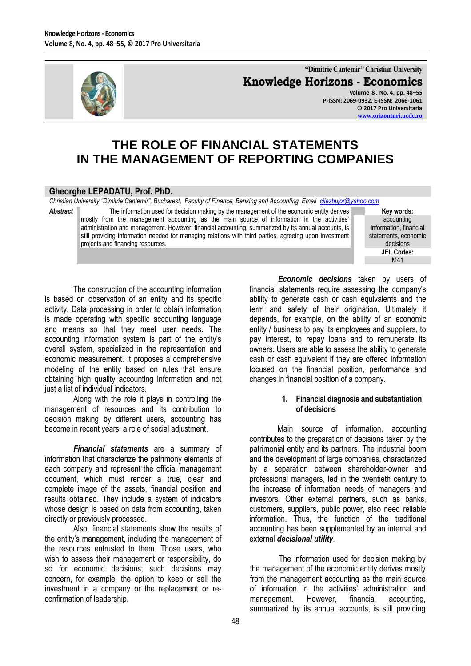

**"Dimitrie Cantemir" Christian University Knowledge Horizons - Economics**

**Volume 8 , No. 4, pp. 48–55 P-ISSN: 2069-0932, E-ISSN: 2066-1061 © 2017 Pro Universitaria [www.orizonturi.ucdc.ro](http://www.orizonturi.ucdc.ro/)**

# **THE ROLE OF FINANCIAL STATEMENTS IN THE MANAGEMENT OF REPORTING COMPANIES**

#### **Gheorghe LEPADATU, Prof. PhD.**

*Christian University "Dimitrie Cantemir", Bucharest, Faculty of Finance, Banking and Accounting, Email [cilezbujor@yahoo.com](mailto:cilezbujor@yahoo.com)*

Abstract The information used for decision making by the management of the economic entity derives mostly from the management accounting as the main source of information in the activities' administration and management. However, financial accounting, summarized by its annual accounts, is still providing information needed for managing relations with third parties, agreeing upon investment projects and financing resources.

**Key words:** accounting information, financial statements, economic decisions **JEL Codes:** M41

The construction of the accounting information is based on observation of an entity and its specific activity. Data processing in order to obtain information is made operating with specific accounting language and means so that they meet user needs. The accounting information system is part of the entity's overall system, specialized in the representation and economic measurement. It proposes a comprehensive modeling of the entity based on rules that ensure obtaining high quality accounting information and not just a list of individual indicators.

Along with the role it plays in controlling the management of resources and its contribution to decision making by different users, accounting has become in recent years, a role of social adjustment.

*Financial statements* are a summary of information that characterize the patrimony elements of each company and represent the official management document, which must render a true, clear and complete image of the assets, financial position and results obtained. They include a system of indicators whose design is based on data from accounting, taken directly or previously processed.

Also, financial statements show the results of the entity's management, including the management of the resources entrusted to them. Those users, who wish to assess their management or responsibility, do so for economic decisions; such decisions may concern, for example, the option to keep or sell the investment in a company or the replacement or reconfirmation of leadership.

*Economic decisions* taken by users of financial statements require assessing the company's ability to generate cash or cash equivalents and the term and safety of their origination. Ultimately it depends, for example, on the ability of an economic entity / business to pay its employees and suppliers, to pay interest, to repay loans and to remunerate its owners. Users are able to assess the ability to generate cash or cash equivalent if they are offered information focused on the financial position, performance and changes in financial position of a company.

#### **1. Financial diagnosis and substantiation of decisions**

Main source of information, accounting contributes to the preparation of decisions taken by the patrimonial entity and its partners. The industrial boom and the development of large companies, characterized by a separation between shareholder-owner and professional managers, led in the twentieth century to the increase of information needs of managers and investors. Other external partners, such as banks, customers, suppliers, public power, also need reliable information. Thus, the function of the traditional accounting has been supplemented by an internal and external *decisional utility*.

The information used for decision making by the management of the economic entity derives mostly from the management accounting as the main source of information in the activities' administration and management. However, financial accounting, summarized by its annual accounts, is still providing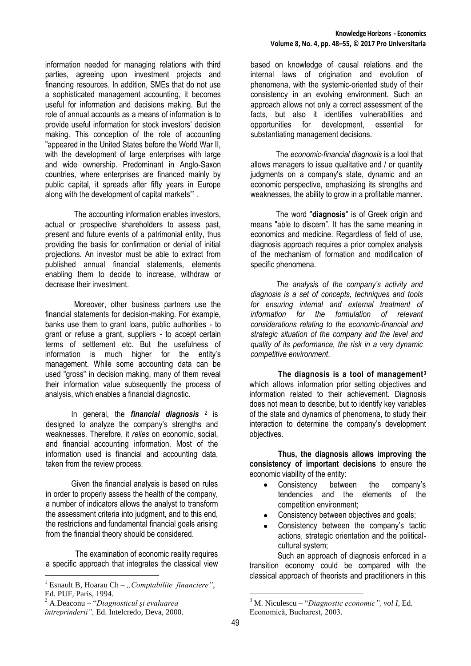information needed for managing relations with third parties, agreeing upon investment projects and financing resources. In addition, SMEs that do not use a sophisticated management accounting, it becomes useful for information and decisions making. But the role of annual accounts as a means of information is to provide useful information for stock investors' decision making. This conception of the role of accounting "appeared in the United States before the World War II, with the development of large enterprises with large and wide ownership. Predominant in Anglo-Saxon countries, where enterprises are financed mainly by public capital, it spreads after fifty years in Europe along with the development of capital markets" 1 .

The accounting information enables investors, actual or prospective shareholders to assess past, present and future events of a patrimonial entity, thus providing the basis for confirmation or denial of initial projections. An investor must be able to extract from published annual financial statements, elements enabling them to decide to increase, withdraw or decrease their investment.

Moreover, other business partners use the financial statements for decision-making. For example, banks use them to grant loans, public authorities - to grant or refuse a grant, suppliers - to accept certain terms of settlement etc. But the usefulness of information is much higher for the entity's management. While some accounting data can be used "gross" in decision making, many of them reveal their information value subsequently the process of analysis, which enables a financial diagnostic.

In general, the **financial diagnosis** <sup>2</sup> is designed to analyze the company's strengths and weaknesses. Therefore, it *relies* on economic, social, and financial accounting information. Most of the information used is financial and accounting data, taken from the review process.

Given the financial analysis is based on rules in order to properly assess the health of the company, a number of indicators allows the analyst to transform the assessment criteria into judgment, and to this end, the restrictions and fundamental financial goals arising from the financial theory should be considered.

The examination of economic reality requires a specific approach that integrates the classical view

 $\overline{a}$ 

based on knowledge of causal relations and the internal laws of origination and evolution of phenomena, with the systemic-oriented study of their consistency in an evolving environment. Such an approach allows not only a correct assessment of the facts, but also it identifies vulnerabilities and opportunities for development, essential for substantiating management decisions.

The *economic-financial diagnosis* is a tool that allows managers to issue qualitative and / or quantity judgments on a company's state, dynamic and an economic perspective, emphasizing its strengths and weaknesses, the ability to grow in a profitable manner.

The word "**diagnosis**" is of Greek origin and means "able to discern". It has the same meaning in economics and medicine. Regardless of field of use, diagnosis approach requires a prior complex analysis of the mechanism of formation and modification of specific phenomena.

*The analysis of the company's activity and diagnosis is a set of concepts, techniques and tools for ensuring internal and external treatment of information for the formulation of relevant considerations relating to the economic-financial and strategic situation of the company and the level and quality of its performance, the risk in a very dynamic competitive environment*.

**The diagnosis is a tool of management<sup>3</sup>** which allows information prior setting objectives and information related to their achievement. Diagnosis does not mean to describe, but to identify key variables of the state and dynamics of phenomena, to study their interaction to determine the company's development objectives.

**Thus, the diagnosis allows improving the consistency of important decisions** to ensure the economic viability of the entity:

- Consistency between the company's  $\bullet$ tendencies and the elements of the competition environment;
- Consistency between objectives and goals;
- Consistency between the company's tactic actions, strategic orientation and the politicalcultural system;

Such an approach of diagnosis enforced in a transition economy could be compared with the classical approach of theorists and practitioners in this

 $\overline{a}$ 

<sup>&</sup>lt;sup>1</sup> Esnault B, Hoarau Ch – "Comptabilite financiere", Ed. PUF, Paris, 1994.

<sup>2</sup> A.Deaconu – "*Diagnosticul şi evaluarea* 

*întreprinderii",* Ed. Intelcredo, Deva, 2000.

<sup>3</sup> M. Niculescu – "*Diagnostic economic", vol I,* Ed. Economică, Bucharest, 2003.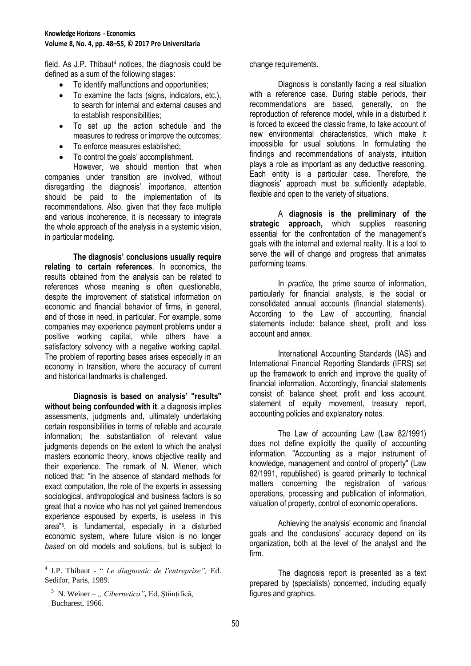field. As  $J.P.$  Thibaut<sup>4</sup> notices, the diagnosis could be defined as a sum of the following stages:

- To identify malfunctions and opportunities;  $\bullet$
- To examine the facts (signs, indicators, etc.), to search for internal and external causes and to establish responsibilities;
- To set up the action schedule and the  $\bullet$ measures to redress or improve the outcomes;
- To enforce measures established;  $\bullet$
- To control the goals' accomplishment.

However, we should mention that when companies under transition are involved, without disregarding the diagnosis' importance, attention should be paid to the implementation of its recommendations. Also, given that they face multiple and various incoherence, it is necessary to integrate the whole approach of the analysis in a systemic vision, in particular modeling.

**The diagnosis' conclusions usually require relating to certain references**. In economics, the results obtained from the analysis can be related to references whose meaning is often questionable, despite the improvement of statistical information on economic and financial behavior of firms, in general, and of those in need, in particular. For example, some companies may experience payment problems under a positive working capital, while others have a satisfactory solvency with a negative working capital. The problem of reporting bases arises especially in an economy in transition, where the accuracy of current and historical landmarks is challenged.

**Diagnosis is based on analysis' "results" without being confounded with it**. a diagnosis implies assessments, judgments and, ultimately undertaking certain responsibilities in terms of reliable and accurate information; the substantiation of relevant value judgments depends on the extent to which the analyst masters economic theory, knows objective reality and their experience. The remark of N. Wiener, which noticed that: "in the absence of standard methods for exact computation, the role of the experts in assessing sociological, anthropological and business factors is so great that a novice who has not yet gained tremendous experience espoused by experts, is useless in this area"<sup>5</sup> , is fundamental, especially in a disturbed economic system, where future vision is no longer *based* on old models and solutions, but is subject to

change requirements.

Diagnosis is constantly facing a real situation with a reference case. During stable periods, their recommendations are based, generally, on the reproduction of reference model, while in a disturbed it is forced to exceed the classic frame, to take account of new environmental characteristics, which make it impossible for usual solutions. In formulating the findings and recommendations of analysts, intuition plays a role as important as any deductive reasoning. Each entity is a particular case. Therefore, the diagnosis' approach must be sufficiently adaptable, flexible and open to the variety of situations.

A **diagnosis is the preliminary of the strategic approach,** which supplies reasoning essential for the confrontation of the management's goals with the internal and external reality. It is a tool to serve the will of change and progress that animates performing teams.

In *practice,* the prime source of information, particularly for financial analysts, is the social or consolidated annual accounts (financial statements). According to the Law of accounting, financial statements include: balance sheet, profit and loss account and annex.

International Accounting Standards (IAS) and International Financial Reporting Standards (IFRS) set up the framework to enrich and improve the quality of financial information. Accordingly, financial statements consist of: balance sheet, profit and loss account, statement of equity movement, treasury report, accounting policies and explanatory notes.

The Law of accounting Law (Law 82/1991) does not define explicitly the quality of accounting information. "Accounting as a major instrument of knowledge, management and control of property" (Law 82/1991, republished) is geared primarily to technical matters concerning the registration of various operations, processing and publication of information, valuation of property, control of economic operations.

Achieving the analysis' economic and financial goals and the conclusions' accuracy depend on its organization, both at the level of the analyst and the firm.

The diagnosis report is presented as a text prepared by (specialists) concerned, including equally figures and graphics.

 4 J.P. Thibaut - " *Le diagnostic de l'entreprise",* Ed. Sedifor, Paris, 1989.

<sup>&</sup>lt;sup>5</sup> N. Weiner – " Cibernetica", Ed, Științifică, Bucharest, 1966.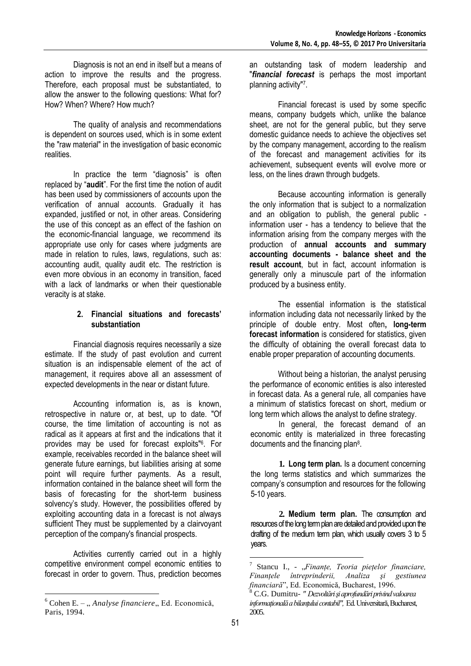Diagnosis is not an end in itself but a means of action to improve the results and the progress. Therefore, each proposal must be substantiated, to allow the answer to the following questions: What for? How? When? Where? How much?

The quality of analysis and recommendations is dependent on sources used, which is in some extent the "raw material" in the investigation of basic economic realities.

In practice the term "diagnosis" is often replaced by "**audit**". For the first time the notion of audit has been used by commissioners of accounts upon the verification of annual accounts. Gradually it has expanded, justified or not, in other areas. Considering the use of this concept as an effect of the fashion on the economic-financial language, we recommend its appropriate use only for cases where judgments are made in relation to rules, laws, regulations, such as: accounting audit, quality audit etc. The restriction is even more obvious in an economy in transition, faced with a lack of landmarks or when their questionable veracity is at stake.

### **2. Financial situations and forecasts' substantiation**

Financial diagnosis requires necessarily a size estimate. If the study of past evolution and current situation is an indispensable element of the act of management, it requires above all an assessment of expected developments in the near or distant future.

Accounting information is, as is known, retrospective in nature or, at best, up to date. "Of course, the time limitation of accounting is not as radical as it appears at first and the indications that it provides may be used for forecast exploits"<sup>6</sup> . For example, receivables recorded in the balance sheet will generate future earnings, but liabilities arising at some point will require further payments. As a result, information contained in the balance sheet will form the basis of forecasting for the short-term business solvency's study. However, the possibilities offered by exploiting accounting data in a forecast is not always sufficient They must be supplemented by a clairvoyant perception of the company's financial prospects.

Activities currently carried out in a highly competitive environment compel economic entities to forecast in order to govern. Thus, prediction becomes an outstanding task of modern leadership and "*financial forecast* is perhaps the most important planning activity" 7 .

Financial forecast is used by some specific means, company budgets which, unlike the balance sheet, are not for the general public, but they serve domestic guidance needs to achieve the objectives set by the company management, according to the realism of the forecast and management activities for its achievement, subsequent events will evolve more or less, on the lines drawn through budgets.

Because accounting information is generally the only information that is subject to a normalization and an obligation to publish, the general public information user - has a tendency to believe that the information arising from the company merges with the production of **annual accounts and summary accounting documents - balance sheet and the result account**, but in fact, account information is generally only a minuscule part of the information produced by a business entity.

The essential information is the statistical information including data not necessarily linked by the principle of double entry. Most often**, long-term forecast information** is considered for statistics, given the difficulty of obtaining the overall forecast data to enable proper preparation of accounting documents.

Without being a historian, the analyst perusing the performance of economic entities is also interested in forecast data. As a general rule, all companies have a minimum of statistics forecast on short, medium or long term which allows the analyst to define strategy.

In general, the forecast demand of an economic entity is materialized in three forecasting documents and the financing plan<sup>8</sup>.

**1. Long term plan.** Is a document concerning the long terms statistics and which summarizes the company's consumption and resources for the following 5-10 years.

**2. Medium term plan.** The consumption and resources of the long term plan are detailed and provided upon the drafting of the medium term plan, which usually covers 3 to 5 years.

 $\overline{a}$ 

 $\overline{a}$  $6$  Cohen E. – "*Analyse financiere* "Ed. Economică, Paris, 1994.

<sup>&</sup>lt;sup>7</sup> Stancu I., - "Finanțe, Teoria piețelor financiare, *Finanţele întreprinderii, Analiza şi gestiunea financiară*", Ed. Economică, Bucharest, 1996.

<sup>8</sup> C.G. Dumitru- *" Dezvoltări şi aprofundări privind valoarea informaţională a bilanţului contabil",* Ed. Universitară, Bucharest, 2005.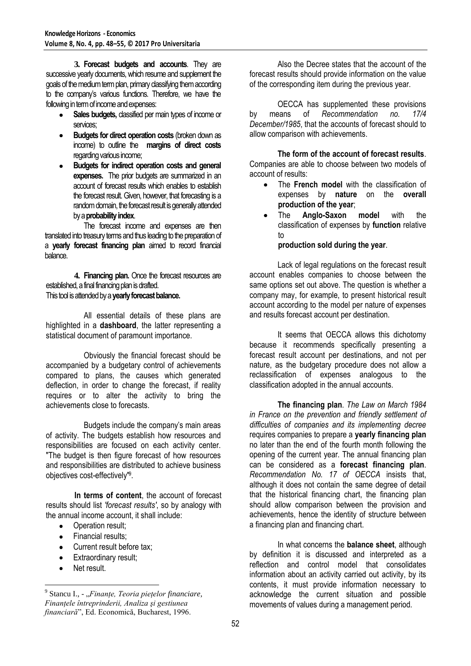**3. Forecast budgets and accounts**. They are successive yearly documents, which resume and supplement the goals of the medium term plan, primary classifying them according to the company's various functions. Therefore, we have the following in term of income and expenses:

- **Sales budgets,** classified per main types of income or services;
- **Budgets for direct operation costs** (broken down as income) to outline the **margins of direct costs** regarding various income;
- **Budgets for indirect operation costs and general expenses.** The prior budgets are summarized in an account of forecast results which enables to establish the forecast result. Given, however, that forecasting is a random domain, the forecast result is generally attended by a **probability index**.

The forecast income and expenses are then translated into treasury terms and thus leading to the preparation of a **yearly forecast financing plan** aimed to record financial balance.

**4. Financing plan.** Once the forecast resources are established, a final financing plan is drafted. This tool is attended by a **yearly forecast balance.** 

All essential details of these plans are highlighted in a **dashboard**, the latter representing a statistical document of paramount importance.

Obviously the financial forecast should be accompanied by a budgetary control of achievements compared to plans, the causes which generated deflection, in order to change the forecast, if reality requires or to alter the activity to bring the achievements close to forecasts.

Budgets include the company's main areas of activity. The budgets establish how resources and responsibilities are focused on each activity center. "The budget is then figure forecast of how resources and responsibilities are distributed to achieve business objectives cost-effectively" 9 .

**In terms of content**, the account of forecast results should list *'forecast results'*, so by analogy with the annual income account, it shall include:

- $\bullet$ Operation result;
- Financial results;  $\bullet$
- Current result before tax;  $\bullet$
- Extraordinary result;
- Net result.

 $\overline{a}$ 

Also the Decree states that the account of the forecast results should provide information on the value of the corresponding item during the previous year.

OECCA has supplemented these provisions by means of *Recommendation no. 17/4 December/1985*, that the accounts of forecast should to allow comparison with achievements.

**The form of the account of forecast results**. Companies are able to choose between two models of account of results:

- The **French model** with the classification of expenses by **nature** on the **overall production of the year**;
- The **Anglo-Saxon model** with the classification of expenses by **function** relative to

#### **production sold during the year**.

Lack of legal regulations on the forecast result account enables companies to choose between the same options set out above. The question is whether a company may, for example, to present historical result account according to the model per nature of expenses and results forecast account per destination.

It seems that OECCA allows this dichotomy because it recommends specifically presenting a forecast result account per destinations, and not per nature, as the budgetary procedure does not allow a reclassification of expenses analogous to the classification adopted in the annual accounts.

**The financing plan**. *The Law on March 1984 in France on the prevention and friendly settlement of difficulties of companies and its implementing decree* requires companies to prepare a **yearly financing plan** no later than the end of the fourth month following the opening of the current year. The annual financing plan can be considered as a **forecast financing plan**. *Recommendation No. 17 of OECCA* insists that, although it does not contain the same degree of detail that the historical financing chart, the financing plan should allow comparison between the provision and achievements, hence the identity of structure between a financing plan and financing chart.

In what concerns the **balance sheet**, although by definition it is discussed and interpreted as a reflection and control model that consolidates information about an activity carried out activity, by its contents, it must provide information necessary to acknowledge the current situation and possible movements of values during a management period.

<sup>&</sup>lt;sup>9</sup> Stancu I., - "*Finanțe, Teoria piețelor financiare*, *Finanţele întreprinderii, Analiza şi gestiunea financiară*", Ed. Economică, Bucharest, 1996.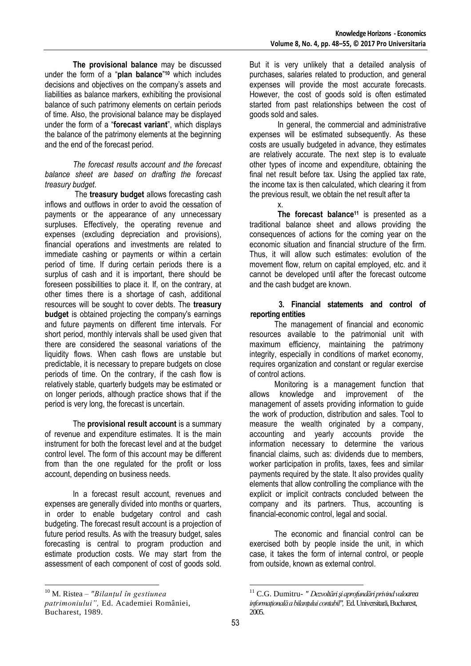**The provisional balance** may be discussed under the form of a "**plan balance**" **<sup>10</sup>** which includes decisions and objectives on the company's assets and liabilities as balance markers, exhibiting the provisional balance of such patrimony elements on certain periods of time. Also, the provisional balance may be displayed under the form of a "**forecast variant**", which displays the balance of the patrimony elements at the beginning and the end of the forecast period.

*The forecast results account and the forecast balance sheet are based on drafting the forecast treasury budget*.

The **treasury budget** allows forecasting cash inflows and outflows in order to avoid the cessation of payments or the appearance of any unnecessary surpluses. Effectively, the operating revenue and expenses (excluding depreciation and provisions), financial operations and investments are related to immediate cashing or payments or within a certain period of time. If during certain periods there is a surplus of cash and it is important, there should be foreseen possibilities to place it. If, on the contrary, at other times there is a shortage of cash, additional resources will be sought to cover debts. The **treasury budget** is obtained projecting the company's earnings and future payments on different time intervals. For short period, monthly intervals shall be used given that there are considered the seasonal variations of the liquidity flows. When cash flows are unstable but predictable, it is necessary to prepare budgets on close periods of time. On the contrary, if the cash flow is relatively stable, quarterly budgets may be estimated or on longer periods, although practice shows that if the period is very long, the forecast is uncertain.

The **provisional result account** is a summary of revenue and expenditure estimates. It is the main instrument for both the forecast level and at the budget control level. The form of this account may be different from than the one regulated for the profit or loss account, depending on business needs.

In a forecast result account, revenues and expenses are generally divided into months or quarters, in order to enable budgetary control and cash budgeting. The forecast result account is a projection of future period results. As with the treasury budget, sales forecasting is central to program production and estimate production costs. We may start from the assessment of each component of cost of goods sold.

 $\overline{a}$ 

But it is very unlikely that a detailed analysis of purchases, salaries related to production, and general expenses will provide the most accurate forecasts. However, the cost of goods sold is often estimated started from past relationships between the cost of goods sold and sales.

In general, the commercial and administrative expenses will be estimated subsequently. As these costs are usually budgeted in advance, they estimates are relatively accurate. The next step is to evaluate other types of income and expenditure, obtaining the final net result before tax. Using the applied tax rate, the income tax is then calculated, which clearing it from the previous result, we obtain the net result after ta

x. **The forecast balance<sup>11</sup>** is presented as a traditional balance sheet and allows providing the consequences of actions for the coming year on the economic situation and financial structure of the firm. Thus, it will allow such estimates: evolution of the movement flow, return on capital employed, etc. and it cannot be developed until after the forecast outcome and the cash budget are known.

#### **3. Financial statements and control of reporting entities**

The management of financial and economic resources available to the patrimonial unit with maximum efficiency, maintaining the patrimony integrity, especially in conditions of market economy, requires organization and constant or regular exercise of control actions.

Monitoring is a management function that allows knowledge and improvement of the management of assets providing information to guide the work of production, distribution and sales. Tool to measure the wealth originated by a company, accounting and yearly accounts provide the information necessary to determine the various financial claims, such as: dividends due to members, worker participation in profits, taxes, fees and similar payments required by the state. It also provides quality elements that allow controlling the compliance with the explicit or implicit contracts concluded between the company and its partners. Thus, accounting is financial-economic control, legal and social.

The economic and financial control can be exercised both by people inside the unit, in which case, it takes the form of internal control, or people from outside, known as external control.

 $\overline{a}$ 

<sup>10</sup> M. Ristea *– "Bilanţul în gestiunea* 

*patrimoniului",* Ed. Academiei României, Bucharest, 1989.

<sup>11</sup> C.G. Dumitru- *" Dezvoltări şi aprofundări privind valoarea informaţională a bilanţului contabil",* Ed. Universitară, Bucharest, 2005.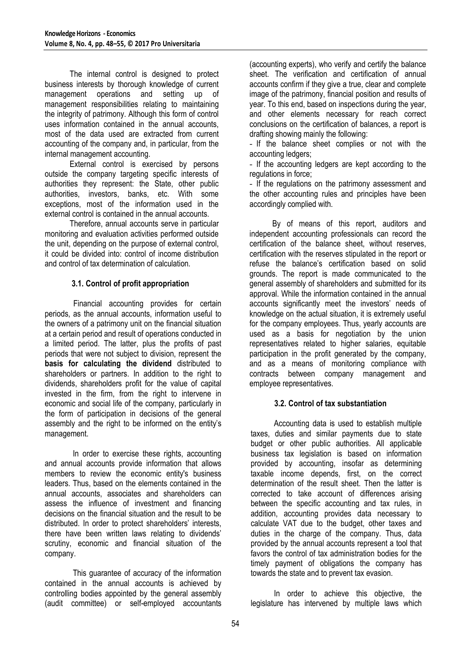The internal control is designed to protect business interests by thorough knowledge of current management operations and setting up of management responsibilities relating to maintaining the integrity of patrimony. Although this form of control uses information contained in the annual accounts, most of the data used are extracted from current accounting of the company and, in particular, from the internal management accounting.

External control is exercised by persons outside the company targeting specific interests of authorities they represent: the State, other public authorities, investors, banks, etc. With some exceptions, most of the information used in the external control is contained in the annual accounts.

Therefore, annual accounts serve in particular monitoring and evaluation activities performed outside the unit, depending on the purpose of external control, it could be divided into: control of income distribution and control of tax determination of calculation.

# **3.1. Control of profit appropriation**

Financial accounting provides for certain periods, as the annual accounts, information useful to the owners of a patrimony unit on the financial situation at a certain period and result of operations conducted in a limited period. The latter, plus the profits of past periods that were not subject to division, represent the **basis for calculating the dividend** distributed to shareholders or partners. In addition to the right to dividends, shareholders profit for the value of capital invested in the firm, from the right to intervene in economic and social life of the company, particularly in the form of participation in decisions of the general assembly and the right to be informed on the entity's management.

In order to exercise these rights, accounting and annual accounts provide information that allows members to review the economic entity's business leaders. Thus, based on the elements contained in the annual accounts, associates and shareholders can assess the influence of investment and financing decisions on the financial situation and the result to be distributed. In order to protect shareholders' interests, there have been written laws relating to dividends' scrutiny, economic and financial situation of the company.

This guarantee of accuracy of the information contained in the annual accounts is achieved by controlling bodies appointed by the general assembly (audit committee) or self-employed accountants (accounting experts), who verify and certify the balance sheet. The verification and certification of annual accounts confirm if they give a true, clear and complete image of the patrimony, financial position and results of year. To this end, based on inspections during the year, and other elements necessary for reach correct conclusions on the certification of balances, a report is drafting showing mainly the following:

- If the balance sheet complies or not with the accounting ledgers;

- If the accounting ledgers are kept according to the regulations in force;

- If the regulations on the patrimony assessment and the other accounting rules and principles have been accordingly complied with.

By of means of this report, auditors and independent accounting professionals can record the certification of the balance sheet, without reserves, certification with the reserves stipulated in the report or refuse the balance's certification based on solid grounds. The report is made communicated to the general assembly of shareholders and submitted for its approval. While the information contained in the annual accounts significantly meet the investors' needs of knowledge on the actual situation, it is extremely useful for the company employees. Thus, yearly accounts are used as a basis for negotiation by the union representatives related to higher salaries, equitable participation in the profit generated by the company, and as a means of monitoring compliance with contracts between company management and employee representatives.

## **3.2. Control of tax substantiation**

Accounting data is used to establish multiple taxes, duties and similar payments due to state budget or other public authorities. All applicable business tax legislation is based on information provided by accounting, insofar as determining taxable income depends, first, on the correct determination of the result sheet. Then the latter is corrected to take account of differences arising between the specific accounting and tax rules, in addition, accounting provides data necessary to calculate VAT due to the budget, other taxes and duties in the charge of the company. Thus, data provided by the annual accounts represent a tool that favors the control of tax administration bodies for the timely payment of obligations the company has towards the state and to prevent tax evasion.

In order to achieve this objective, the legislature has intervened by multiple laws which